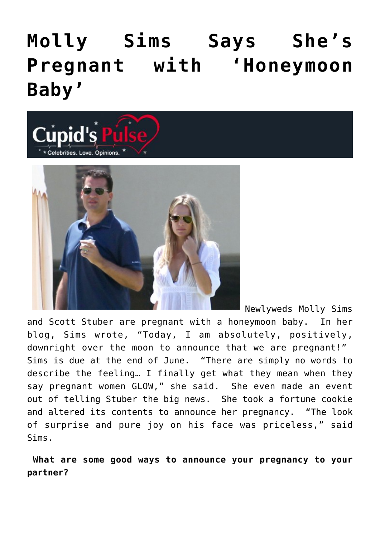## **[Molly Sims Says She's](https://cupidspulse.com/25240/molly-sims-says-shes-pregnant-with-honeymoon-baby/) [Pregnant with 'Honeymoon](https://cupidspulse.com/25240/molly-sims-says-shes-pregnant-with-honeymoon-baby/) [Baby'](https://cupidspulse.com/25240/molly-sims-says-shes-pregnant-with-honeymoon-baby/)**





Newlyweds Molly Sims and Scott Stuber are pregnant with a honeymoon baby. In her blog, Sims wrote, "Today, I am absolutely, positively, downright over the moon to announce that we are pregnant!" Sims is due at the end of June. "There are simply no words to describe the feeling… I finally get what they mean when they say pregnant women GLOW," she said. She even made an event out of telling Stuber the big news. She took a fortune cookie and altered its contents to announce her pregnancy. "The look of surprise and pure joy on his face was priceless," said Sims.

**What are some good ways to announce your pregnancy to your partner?**